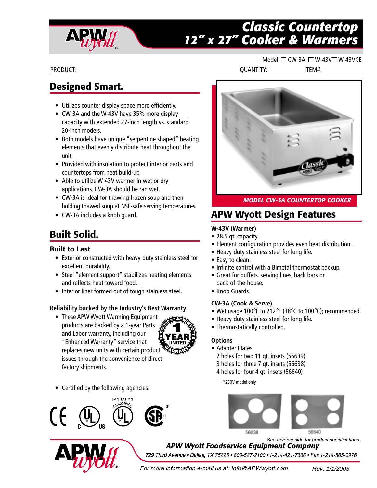

# *Classic Countertop 12" x 27" Cooker & Warmers*

#### Model: CW-3A W-43V W-43VCE

PRODUCT: QUANTITY: ITEM#:

# **Designed Smart.**

- Utilizes counter display space more efficiently.
- CW-3A and the W-43V have 35% more display capacity with extended 27-inch length vs. standard 20-inch models.
- Both models have unique "serpentine shaped" heating elements that evenly distribute heat throughout the unit.
- Provided with insulation to protect interior parts and countertops from heat build-up.
- Able to utilize W-43V warmer in wet or dry applications. CW-3A should be ran wet.
- CW-3A is ideal for thawing frozen soup and then holding thawed soup at NSF-safe serving temperatures.
- CW-3A includes a knob guard.

# **Built Solid.**

### **Built to Last**

- Exterior constructed with heavy-duty stainless steel for excellent durability.
- Steel "element support" stabilizes heating elements and reflects heat toward food.
- Interior liner formed out of tough stainless steel.

### **Reliability backed by the Industry's Best Warranty**

• These APW Wyott Warming Equipment products are backed by a 1-year Parts and Labor warranty, including our "Enhanced Warranty" service that replaces new units with certain product issues through the convenience of direct factory shipments.



• Certified by the following agencies:





**APW Wyott Foodservice Equipment Company** 

729 Third Avenue . Dallas, TX 75226 . 800-527-2100 . 1-214-421-7366 . Fax 1-214-565-0976

For more information e-mail us at: Info@APWwyott.com

Rev. 1/1/2003



*MODEL CW-3A COUNTERTOP COOKER*

# **APW Wyott Design Features**

### **W-43V (Warmer)**

- 28.5 qt. capacity.
- Element configuration provides even heat distribution.
- Heavy-duty stainless steel for long life.
- Easy to clean.
- Infinite control with a Bimetal thermostat backup.
- Great for buffets, serving lines, back bars or back-of-the-house.
- Knob Guards.

### **CW-3A (Cook & Serve)**

- Wet usage 100°F to 212°F (38°C to 100°C); recommended.
- Heavy-duty stainless steel for long life.
- Thermostatically controlled.

### **Options**

- Adapter Plates
- 2 holes for two 11 qt. insets (56639)
- 3 holes for three 7 qt. insets (56638)
- 4 holes for four 4 qt. insets (56640)

\*230V model only



See reverse side for product specifications.